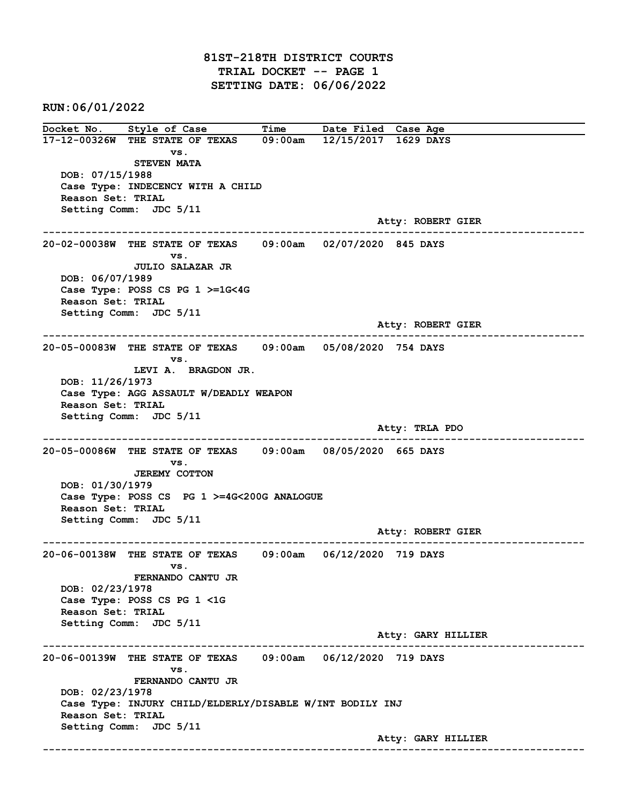81ST-218TH DISTRICT COURTS TRIAL DOCKET -- PAGE 1 SETTING DATE: 06/06/2022

RUN:06/01/2022

Docket No. Style of Case Time Date Filed Case Age 17-12-00326W THE STATE OF TEXAS 09:00am 12/15/2017 1629 DAYS vs. STEVEN MATA DOB: 07/15/1988 Case Type: INDECENCY WITH A CHILD Reason Set: TRIAL Setting Comm: JDC 5/11 Atty: ROBERT GIER ------------------------------------------------------------------------------------------------------------------------ 20-02-00038W THE STATE OF TEXAS 09:00am 02/07/2020 845 DAYS vs. JULIO SALAZAR JR DOB: 06/07/1989 Case Type: POSS CS PG 1 >=1G<4G Reason Set: TRIAL Setting Comm: JDC 5/11 Atty: ROBERT GIER ------------------------------------------------------------------------------------------------------------------------ 20-05-00083W THE STATE OF TEXAS 09:00am 05/08/2020 754 DAYS vs. LEVI A. BRAGDON JR. DOB: 11/26/1973 Case Type: AGG ASSAULT W/DEADLY WEAPON Reason Set: TRIAL Setting Comm: JDC 5/11 Atty: TRLA PDO ------------------------------------------------------------------------------------------------------------------------ 20-05-00086W THE STATE OF TEXAS 09:00am 08/05/2020 665 DAYS vs. JEREMY COTTON DOB: 01/30/1979 Case Type: POSS CS PG 1 >=4G<200G ANALOGUE Reason Set: TRIAL Setting Comm: JDC 5/11 Atty: ROBERT GIER ------------------------------------------------------------------------------------------------------------------------ 20-06-00138W THE STATE OF TEXAS 09:00am 06/12/2020 719 DAYS vs. FERNANDO CANTU JR DOB: 02/23/1978 Case Type: POSS CS PG 1 <1G Reason Set: TRIAL Setting Comm: JDC 5/11 Atty: GARY HILLIER ------------------------------------------------------------------------------------------------------------------------ 20-06-00139W THE STATE OF TEXAS 09:00am 06/12/2020 719 DAYS vs. FERNANDO CANTU JR DOB: 02/23/1978 Case Type: INJURY CHILD/ELDERLY/DISABLE W/INT BODILY INJ Reason Set: TRIAL Setting Comm: JDC 5/11 Atty: GARY HILLIER ------------------------------------------------------------------------------------------------------------------------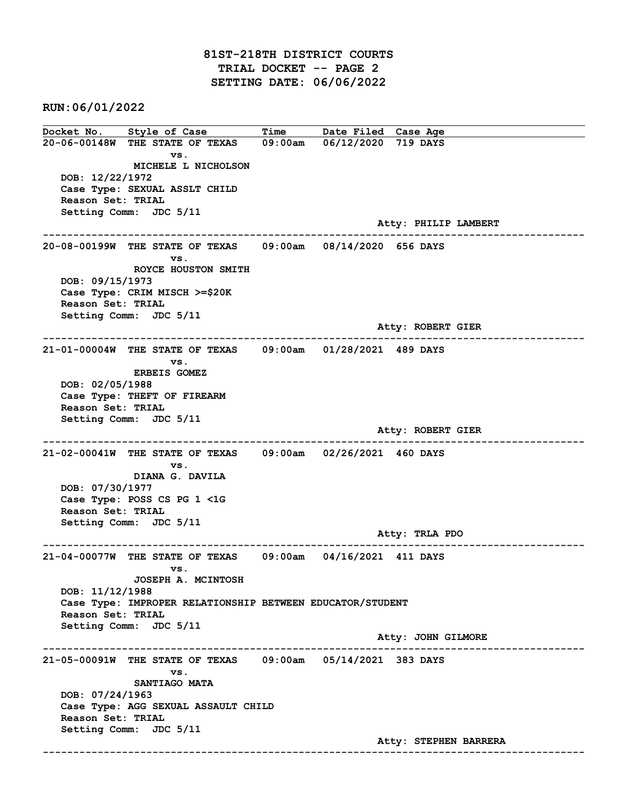## 81ST-218TH DISTRICT COURTS TRIAL DOCKET -- PAGE 2 SETTING DATE: 06/06/2022

RUN:06/01/2022

Docket No. Style of Case Time Date Filed Case Age 20-06-00148W THE STATE OF TEXAS 09:00am 06/12/2020 719 DAYS vs. MICHELE L NICHOLSON DOB: 12/22/1972 Case Type: SEXUAL ASSLT CHILD Reason Set: TRIAL Setting Comm: JDC 5/11 Atty: PHILIP LAMBERT ------------------------------------------------------------------------------------------------------------------------ 20-08-00199W THE STATE OF TEXAS 09:00am 08/14/2020 656 DAYS vs. ROYCE HOUSTON SMITH DOB: 09/15/1973 Case Type: CRIM MISCH >=\$20K Reason Set: TRIAL Setting Comm: JDC 5/11 Atty: ROBERT GIER ------------------------------------------------------------------------------------------------------------------------ 21-01-00004W THE STATE OF TEXAS 09:00am 01/28/2021 489 DAYS vs. ERBEIS GOMEZ DOB: 02/05/1988 Case Type: THEFT OF FIREARM Reason Set: TRIAL Setting Comm: JDC 5/11 Atty: ROBERT GIER ------------------------------------------------------------------------------------------------------------------------ 21-02-00041W THE STATE OF TEXAS 09:00am 02/26/2021 460 DAYS vs. DIANA G. DAVILA DOB: 07/30/1977 Case Type: POSS CS PG 1 <1G Reason Set: TRIAL Setting Comm: JDC 5/11 Atty: TRLA PDO ------------------------------------------------------------------------------------------------------------------------ 21-04-00077W THE STATE OF TEXAS 09:00am 04/16/2021 411 DAYS vs. JOSEPH A. MCINTOSH DOB: 11/12/1988 Case Type: IMPROPER RELATIONSHIP BETWEEN EDUCATOR/STUDENT Reason Set: TRIAL Setting Comm: JDC 5/11 Atty: JOHN GILMORE ------------------------------------------------------------------------------------------------------------------------ 21-05-00091W THE STATE OF TEXAS 09:00am 05/14/2021 383 DAYS vs. SANTIAGO MATA DOB: 07/24/1963 Case Type: AGG SEXUAL ASSAULT CHILD Reason Set: TRIAL Setting Comm: JDC 5/11 Atty: STEPHEN BARRERA ------------------------------------------------------------------------------------------------------------------------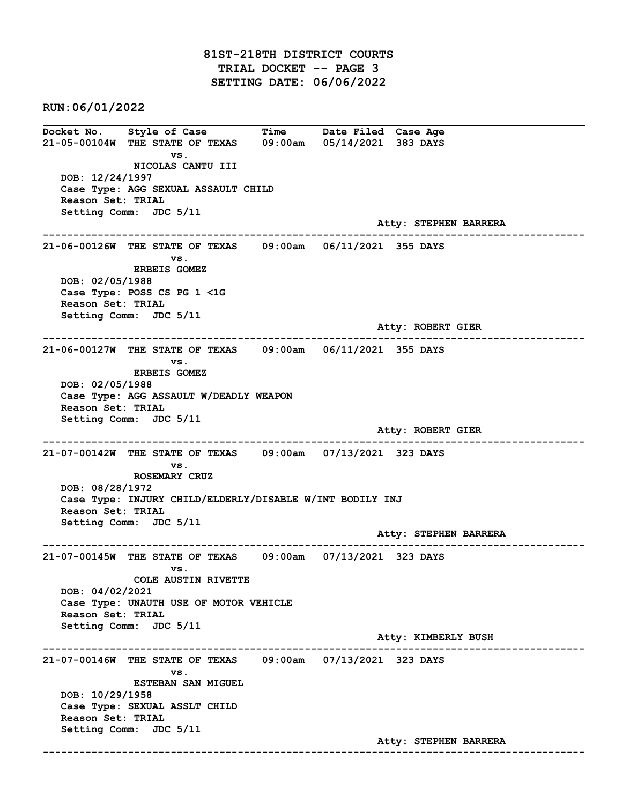## 81ST-218TH DISTRICT COURTS TRIAL DOCKET -- PAGE 3 SETTING DATE: 06/06/2022

RUN:06/01/2022

Docket No. Style of Case Time Date Filed Case Age 21-05-00104W THE STATE OF TEXAS 09:00am 05/14/2021 383 DAYS vs. NICOLAS CANTU III DOB: 12/24/1997 Case Type: AGG SEXUAL ASSAULT CHILD Reason Set: TRIAL Setting Comm: JDC 5/11 Atty: STEPHEN BARRERA ------------------------------------------------------------------------------------------------------------------------ 21-06-00126W THE STATE OF TEXAS 09:00am 06/11/2021 355 DAYS vs. ERBEIS GOMEZ DOB: 02/05/1988 Case Type: POSS CS PG 1 <1G Reason Set: TRIAL Setting Comm: JDC 5/11 Atty: ROBERT GIER ------------------------------------------------------------------------------------------------------------------------ 21-06-00127W THE STATE OF TEXAS 09:00am 06/11/2021 355 DAYS vs. ERBEIS GOMEZ DOB: 02/05/1988 Case Type: AGG ASSAULT W/DEADLY WEAPON Reason Set: TRIAL Setting Comm: JDC 5/11 Atty: ROBERT GIER ------------------------------------------------------------------------------------------------------------------------ 21-07-00142W THE STATE OF TEXAS 09:00am 07/13/2021 323 DAYS vs. ROSEMARY CRUZ DOB: 08/28/1972 Case Type: INJURY CHILD/ELDERLY/DISABLE W/INT BODILY INJ Reason Set: TRIAL Setting Comm: JDC 5/11 Atty: STEPHEN BARRERA ------------------------------------------------------------------------------------------------------------------------ 21-07-00145W THE STATE OF TEXAS 09:00am 07/13/2021 323 DAYS vs. COLE AUSTIN RIVETTE DOB: 04/02/2021 Case Type: UNAUTH USE OF MOTOR VEHICLE Reason Set: TRIAL Setting Comm: JDC 5/11 Atty: KIMBERLY BUSH ------------------------------------------------------------------------------------------------------------------------ 21-07-00146W THE STATE OF TEXAS 09:00am 07/13/2021 323 DAYS vs. ESTEBAN SAN MIGUEL DOB: 10/29/1958 Case Type: SEXUAL ASSLT CHILD Reason Set: TRIAL Setting Comm: JDC 5/11 Atty: STEPHEN BARRERA ------------------------------------------------------------------------------------------------------------------------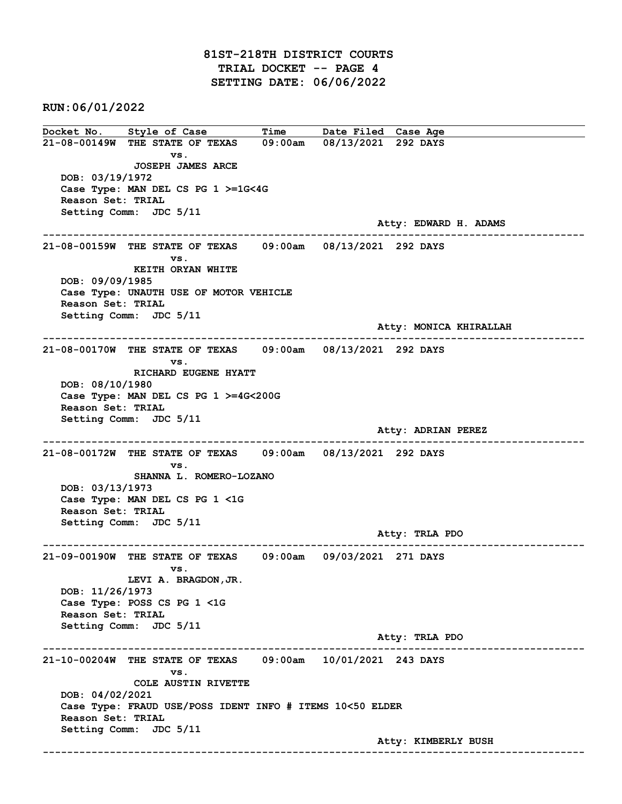## 81ST-218TH DISTRICT COURTS TRIAL DOCKET -- PAGE 4 SETTING DATE: 06/06/2022

RUN:06/01/2022

Docket No. Style of Case Time Date Filed Case Age 21-08-00149W THE STATE OF TEXAS 09:00am 08/13/2021 292 DAYS vs. JOSEPH JAMES ARCE DOB: 03/19/1972 Case Type: MAN DEL CS PG 1 >=1G<4G Reason Set: TRIAL Setting Comm: JDC 5/11 Atty: EDWARD H. ADAMS ------------------------------------------------------------------------------------------------------------------------ 21-08-00159W THE STATE OF TEXAS 09:00am 08/13/2021 292 DAYS vs. KEITH ORYAN WHITE DOB: 09/09/1985 Case Type: UNAUTH USE OF MOTOR VEHICLE Reason Set: TRIAL Setting Comm: JDC 5/11 Atty: MONICA KHIRALLAH ------------------------------------------------------------------------------------------------------------------------ 21-08-00170W THE STATE OF TEXAS 09:00am 08/13/2021 292 DAYS vs. RICHARD EUGENE HYATT DOB: 08/10/1980 Case Type: MAN DEL CS PG 1 >=4G<200G Reason Set: TRIAL Setting Comm: JDC 5/11 Atty: ADRIAN PEREZ ------------------------------------------------------------------------------------------------------------------------ 21-08-00172W THE STATE OF TEXAS 09:00am 08/13/2021 292 DAYS vs. SHANNA L. ROMERO-LOZANO DOB: 03/13/1973 Case Type: MAN DEL CS PG 1 <1G Reason Set: TRIAL Setting Comm: JDC 5/11 Atty: TRLA PDO ------------------------------------------------------------------------------------------------------------------------ 21-09-00190W THE STATE OF TEXAS 09:00am 09/03/2021 271 DAYS vs. LEVI A. BRAGDON,JR. DOB: 11/26/1973 Case Type: POSS CS PG 1 <1G Reason Set: TRIAL Setting Comm: JDC 5/11 Atty: TRLA PDO ------------------------------------------------------------------------------------------------------------------------ 21-10-00204W THE STATE OF TEXAS 09:00am 10/01/2021 243 DAYS vs. COLE AUSTIN RIVETTE DOB: 04/02/2021 Case Type: FRAUD USE/POSS IDENT INFO # ITEMS 10<50 ELDER Reason Set: TRIAL Setting Comm: JDC 5/11 Atty: KIMBERLY BUSH ------------------------------------------------------------------------------------------------------------------------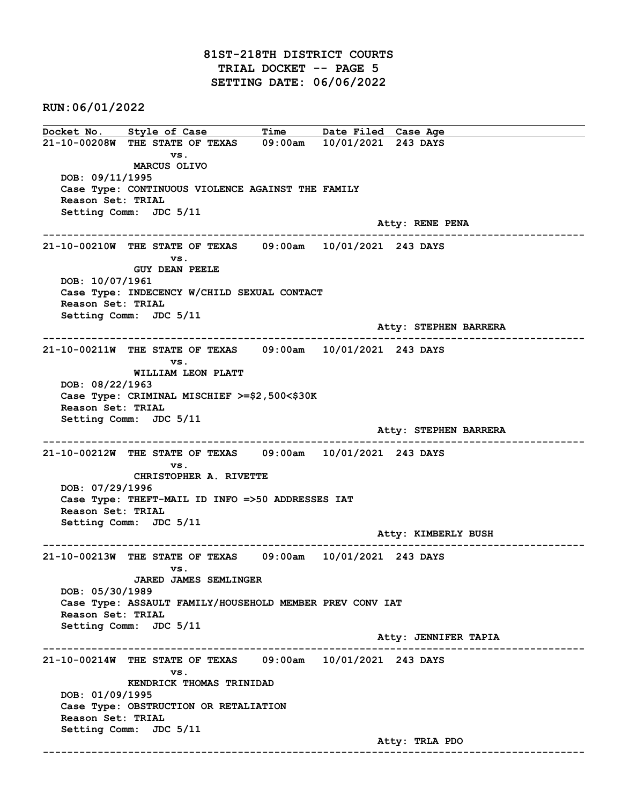RUN:06/01/2022

Docket No. Style of Case Time Date Filed Case Age 21-10-00208W THE STATE OF TEXAS 09:00am 10/01/2021 243 DAYS vs. MARCUS OLIVO DOB: 09/11/1995 Case Type: CONTINUOUS VIOLENCE AGAINST THE FAMILY Reason Set: TRIAL Setting Comm: JDC 5/11 Atty: RENE PENA ------------------------------------------------------------------------------------------------------------------------ 21-10-00210W THE STATE OF TEXAS 09:00am 10/01/2021 243 DAYS vs. GUY DEAN PEELE DOB: 10/07/1961 Case Type: INDECENCY W/CHILD SEXUAL CONTACT Reason Set: TRIAL Setting Comm: JDC 5/11 Atty: STEPHEN BARRERA ------------------------------------------------------------------------------------------------------------------------ 21-10-00211W THE STATE OF TEXAS 09:00am 10/01/2021 243 DAYS vs. WILLIAM LEON PLATT DOB: 08/22/1963 Case Type: CRIMINAL MISCHIEF >=\$2,500<\$30K Reason Set: TRIAL Setting Comm: JDC 5/11 Atty: STEPHEN BARRERA ------------------------------------------------------------------------------------------------------------------------ 21-10-00212W THE STATE OF TEXAS 09:00am 10/01/2021 243 DAYS vs. CHRISTOPHER A. RIVETTE DOB: 07/29/1996 Case Type: THEFT-MAIL ID INFO =>50 ADDRESSES IAT Reason Set: TRIAL Setting Comm: JDC 5/11 Atty: KIMBERLY BUSH ------------------------------------------------------------------------------------------------------------------------ 21-10-00213W THE STATE OF TEXAS 09:00am 10/01/2021 243 DAYS vs. JARED JAMES SEMLINGER DOB: 05/30/1989 Case Type: ASSAULT FAMILY/HOUSEHOLD MEMBER PREV CONV IAT Reason Set: TRIAL Setting Comm: JDC 5/11 Atty: JENNIFER TAPIA ------------------------------------------------------------------------------------------------------------------------ 21-10-00214W THE STATE OF TEXAS 09:00am 10/01/2021 243 DAYS vs. KENDRICK THOMAS TRINIDAD DOB: 01/09/1995 Case Type: OBSTRUCTION OR RETALIATION Reason Set: TRIAL Setting Comm: JDC 5/11 Atty: TRLA PDO ------------------------------------------------------------------------------------------------------------------------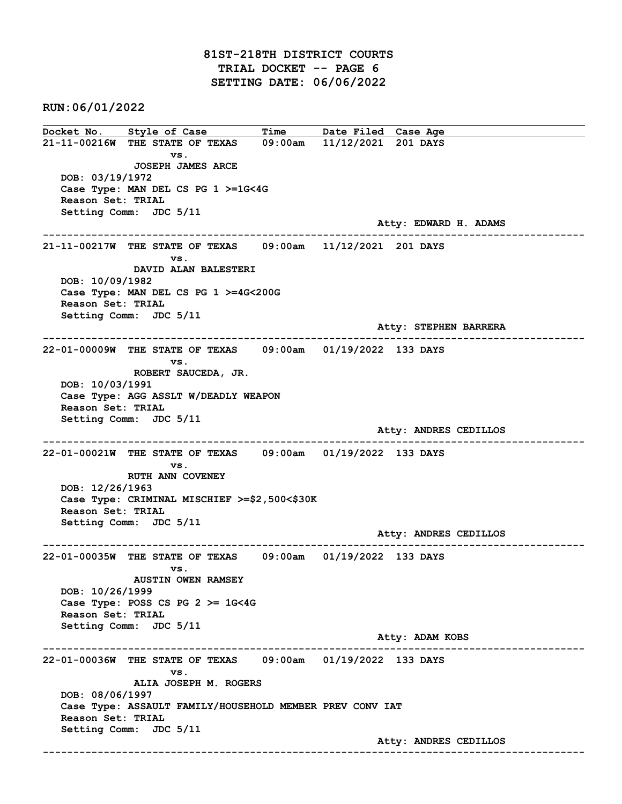## 81ST-218TH DISTRICT COURTS TRIAL DOCKET -- PAGE 6 SETTING DATE: 06/06/2022

RUN:06/01/2022

Docket No. Style of Case Time Date Filed Case Age 21-11-00216W THE STATE OF TEXAS 09:00am 11/12/2021 201 DAYS vs. JOSEPH JAMES ARCE DOB: 03/19/1972 Case Type: MAN DEL CS PG 1 >=1G<4G Reason Set: TRIAL Setting Comm: JDC 5/11 Atty: EDWARD H. ADAMS ------------------------------------------------------------------------------------------------------------------------ 21-11-00217W THE STATE OF TEXAS 09:00am 11/12/2021 201 DAYS vs. DAVID ALAN BALESTERI DOB: 10/09/1982 Case Type: MAN DEL CS PG 1 >=4G<200G Reason Set: TRIAL Setting Comm: JDC 5/11 Atty: STEPHEN BARRERA ------------------------------------------------------------------------------------------------------------------------ 22-01-00009W THE STATE OF TEXAS 09:00am 01/19/2022 133 DAYS vs. ROBERT SAUCEDA, JR. DOB: 10/03/1991 Case Type: AGG ASSLT W/DEADLY WEAPON Reason Set: TRIAL Setting Comm: JDC 5/11 Atty: ANDRES CEDILLOS ------------------------------------------------------------------------------------------------------------------------ 22-01-00021W THE STATE OF TEXAS 09:00am 01/19/2022 133 DAYS vs. RUTH ANN COVENEY DOB: 12/26/1963 Case Type: CRIMINAL MISCHIEF >=\$2,500<\$30K Reason Set: TRIAL Setting Comm: JDC 5/11 Atty: ANDRES CEDILLOS ------------------------------------------------------------------------------------------------------------------------ 22-01-00035W THE STATE OF TEXAS 09:00am 01/19/2022 133 DAYS vs. AUSTIN OWEN RAMSEY DOB: 10/26/1999 Case Type: POSS CS PG 2 >= 1G<4G Reason Set: TRIAL Setting Comm: JDC 5/11 Atty: ADAM KOBS ------------------------------------------------------------------------------------------------------------------------ 22-01-00036W THE STATE OF TEXAS 09:00am 01/19/2022 133 DAYS vs. ALIA JOSEPH M. ROGERS DOB: 08/06/1997 Case Type: ASSAULT FAMILY/HOUSEHOLD MEMBER PREV CONV IAT Reason Set: TRIAL Setting Comm: JDC 5/11 Atty: ANDRES CEDILLOS ------------------------------------------------------------------------------------------------------------------------